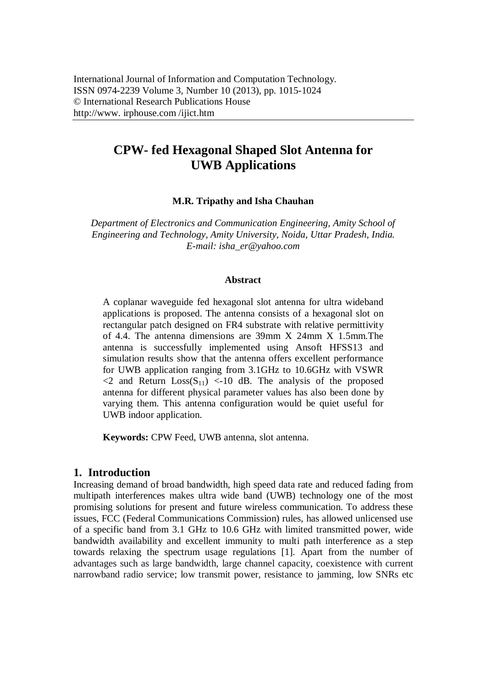# **CPW- fed Hexagonal Shaped Slot Antenna for UWB Applications**

#### **M.R. Tripathy and Isha Chauhan**

*Department of Electronics and Communication Engineering, Amity School of Engineering and Technology, Amity University, Noida, Uttar Pradesh, India. E-mail: isha\_er@yahoo.com*

#### **Abstract**

A coplanar waveguide fed hexagonal slot antenna for ultra wideband applications is proposed. The antenna consists of a hexagonal slot on rectangular patch designed on FR4 substrate with relative permittivity of 4.4. The antenna dimensions are 39mm X 24mm X 1.5mm.The antenna is successfully implemented using Ansoft HFSS13 and simulation results show that the antenna offers excellent performance for UWB application ranging from 3.1GHz to 10.6GHz with VSWR  $\langle 2 \rangle$  and Return  $Loss(S_{11}) \langle -10 \rangle$  dB. The analysis of the proposed antenna for different physical parameter values has also been done by varying them. This antenna configuration would be quiet useful for UWB indoor application.

**Keywords:** CPW Feed, UWB antenna, slot antenna.

### **1. Introduction**

Increasing demand of broad bandwidth, high speed data rate and reduced fading from multipath interferences makes ultra wide band (UWB) technology one of the most promising solutions for present and future wireless communication. To address these issues, FCC (Federal Communications Commission) rules, has allowed unlicensed use of a specific band from 3.1 GHz to 10.6 GHz with limited transmitted power, wide bandwidth availability and excellent immunity to multi path interference as a step towards relaxing the spectrum usage regulations [1]. Apart from the number of advantages such as large bandwidth, large channel capacity, coexistence with current narrowband radio service; low transmit power, resistance to jamming, low SNRs etc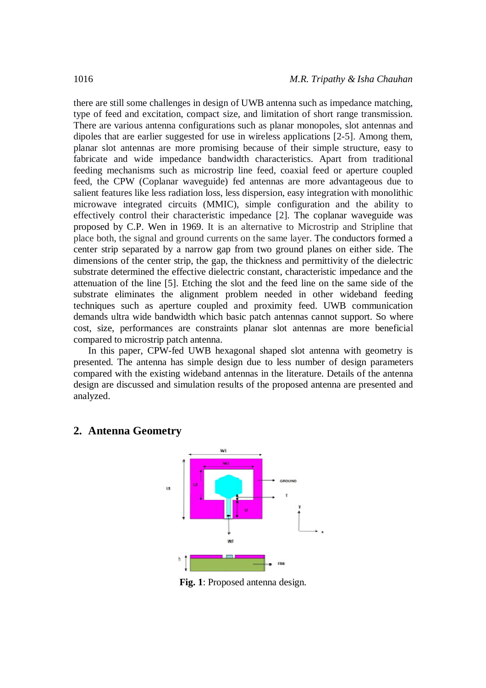there are still some challenges in design of UWB antenna such as impedance matching, type of feed and excitation, compact size, and limitation of short range transmission. There are various antenna configurations such as planar monopoles, slot antennas and dipoles that are earlier suggested for use in wireless applications [2-5]. Among them, planar slot antennas are more promising because of their simple structure, easy to fabricate and wide impedance bandwidth characteristics. Apart from traditional feeding mechanisms such as microstrip line feed, coaxial feed or aperture coupled feed, the CPW (Coplanar waveguide) fed antennas are more advantageous due to salient features like less radiation loss, less dispersion, easy integration with monolithic microwave integrated circuits (MMIC), simple configuration and the ability to effectively control their characteristic impedance [2]. The coplanar waveguide was proposed by C.P. Wen in 1969. It is an alternative to Microstrip and Stripline that place both, the signal and ground currents on the same layer. The conductors formed a center strip separated by a narrow gap from two ground planes on either side. The dimensions of the center strip, the gap, the thickness and permittivity of the dielectric substrate determined the effective dielectric constant, characteristic impedance and the attenuation of the line [5]. Etching the slot and the feed line on the same side of the substrate eliminates the alignment problem needed in other wideband feeding techniques such as aperture coupled and proximity feed. UWB communication demands ultra wide bandwidth which basic patch antennas cannot support. So where cost, size, performances are constraints planar slot antennas are more beneficial compared to microstrip patch antenna.

In this paper, CPW-fed UWB hexagonal shaped slot antenna with geometry is presented. The antenna has simple design due to less number of design parameters compared with the existing wideband antennas in the literature. Details of the antenna design are discussed and simulation results of the proposed antenna are presented and analyzed.

## **2. Antenna Geometry**



**Fig. 1**: Proposed antenna design.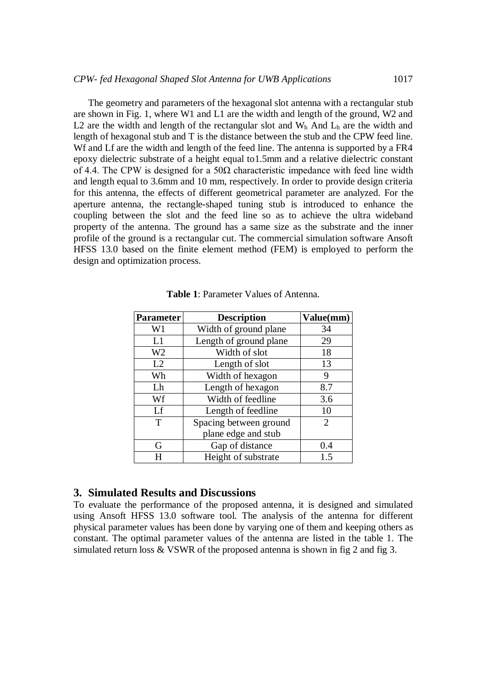The geometry and parameters of the hexagonal slot antenna with a rectangular stub are shown in Fig. 1, where W1 and L1 are the width and length of the ground, W2 and L2 are the width and length of the rectangular slot and  $W<sub>h</sub>$  And  $L<sub>h</sub>$  are the width and length of hexagonal stub and T is the distance between the stub and the CPW feed line. Wf and Lf are the width and length of the feed line. The antenna is supported by a FR4 epoxy dielectric substrate of a height equal to1.5mm and a relative dielectric constant of 4.4. The CPW is designed for a  $50\Omega$  characteristic impedance with feed line width and length equal to 3.6mm and 10 mm, respectively. In order to provide design criteria for this antenna, the effects of different geometrical parameter are analyzed. For the aperture antenna, the rectangle-shaped tuning stub is introduced to enhance the coupling between the slot and the feed line so as to achieve the ultra wideband property of the antenna. The ground has a same size as the substrate and the inner profile of the ground is a rectangular cut. The commercial simulation software Ansoft HFSS 13.0 based on the finite element method (FEM) is employed to perform the design and optimization process.

| <b>Parameter</b> | <b>Description</b>     | Value(mm)      |
|------------------|------------------------|----------------|
| W1               | Width of ground plane  | 34             |
| L1               | Length of ground plane | 29             |
| W2               | Width of slot          | 18             |
| L2               | Length of slot         | 13             |
| Wh               | Width of hexagon       | 9              |
| Lh               | Length of hexagon      | 8.7            |
| Wf               | Width of feedline      | 3.6            |
| Lf               | Length of feedline     | 10             |
| T                | Spacing between ground | $\overline{2}$ |
|                  | plane edge and stub    |                |
| G                | Gap of distance        | 0.4            |
|                  | Height of substrate    | 1.5            |

**Table 1**: Parameter Values of Antenna.

### **3. Simulated Results and Discussions**

To evaluate the performance of the proposed antenna, it is designed and simulated using Ansoft HFSS 13.0 software tool. The analysis of the antenna for different physical parameter values has been done by varying one of them and keeping others as constant. The optimal parameter values of the antenna are listed in the table 1. The simulated return loss & VSWR of the proposed antenna is shown in fig 2 and fig 3.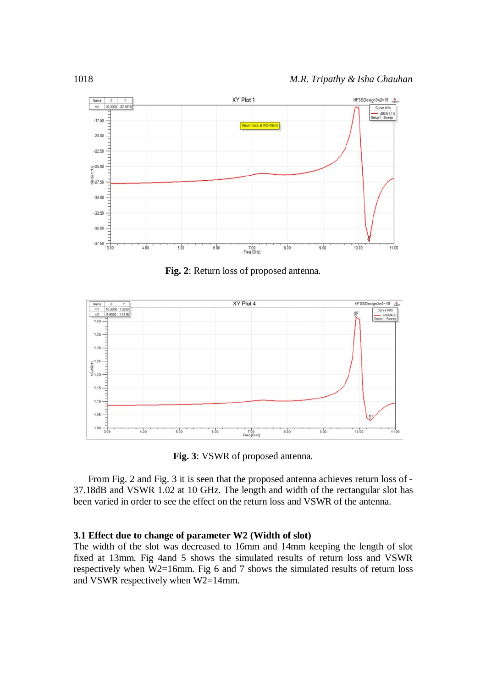

**Fig. 2**: Return loss of proposed antenna.



**Fig. 3**: VSWR of proposed antenna.

From Fig. 2 and Fig. 3 it is seen that the proposed antenna achieves return loss of - 37.18dB and VSWR 1.02 at 10 GHz. The length and width of the rectangular slot has been varied in order to see the effect on the return loss and VSWR of the antenna.

#### **3.1 Effect due to change of parameter W2 (Width of slot)**

The width of the slot was decreased to 16mm and 14mm keeping the length of slot fixed at 13mm. Fig 4and 5 shows the simulated results of return loss and VSWR respectively when W2=16mm. Fig 6 and 7 shows the simulated results of return loss and VSWR respectively when W2=14mm.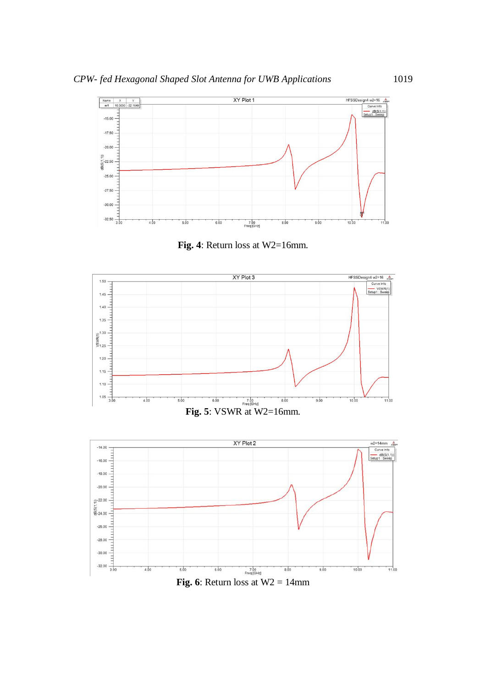





**Fig. 6**: Return loss at  $W2 = 14$ mm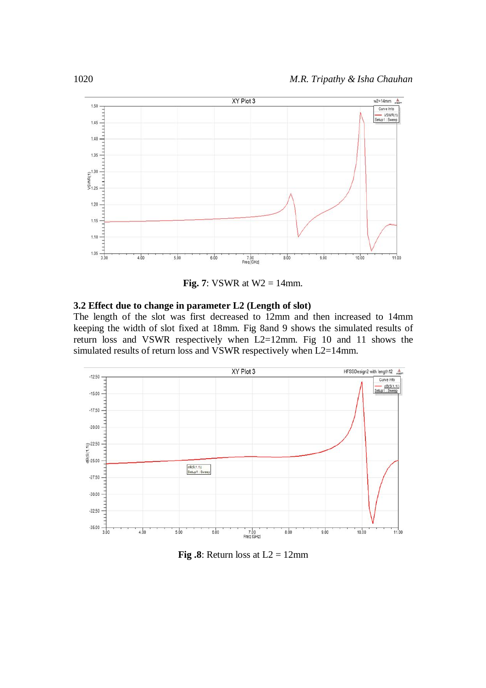

**Fig. 7**: VSWR at  $W2 = 14$ mm.

#### **3.2 Effect due to change in parameter L2 (Length of slot)**

The length of the slot was first decreased to 12mm and then increased to 14mm keeping the width of slot fixed at 18mm. Fig 8and 9 shows the simulated results of return loss and VSWR respectively when L2=12mm. Fig 10 and 11 shows the simulated results of return loss and VSWR respectively when L2=14mm.



**Fig.8**: Return loss at  $L2 = 12$ mm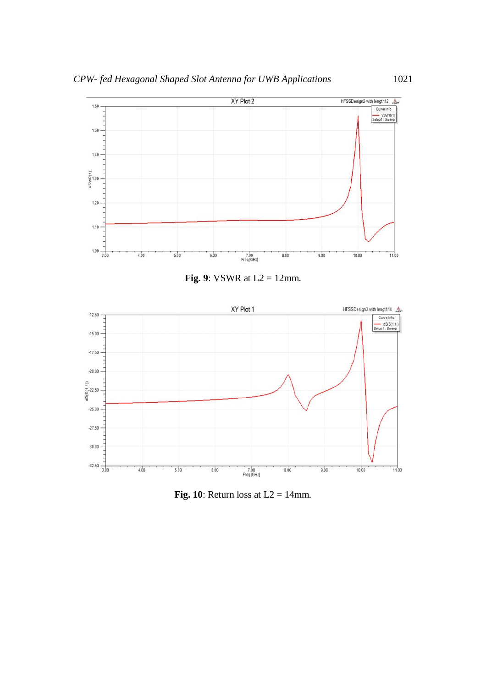

**Fig. 9**: VSWR at  $L2 = 12$ mm.



**Fig. 10**: Return loss at  $L2 = 14$ mm.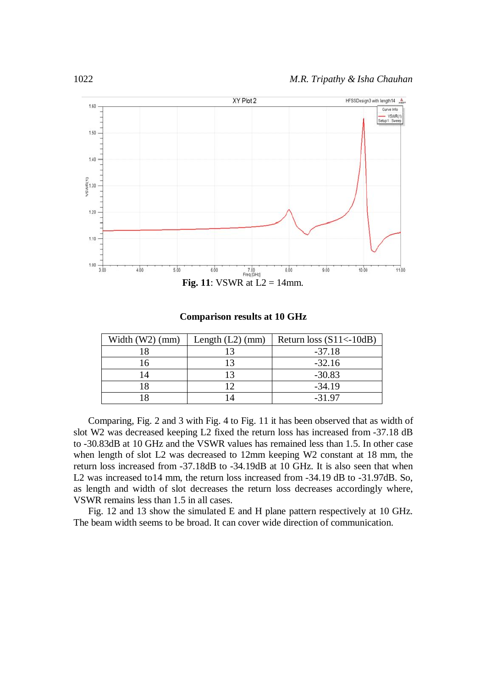

**Comparison results at 10 GHz**

| Width $(W2)$ (mm) | Length $(L2)$ (mm) | Return loss $(S11<-10dB)$ |
|-------------------|--------------------|---------------------------|
|                   |                    | $-37.18$                  |
| <sup>6</sup>      | ۱3                 | $-32.16$                  |
|                   | ۱3                 | $-30.83$                  |
| 18                |                    | $-34.19$                  |
|                   |                    | $-31.97$                  |

Comparing, Fig. 2 and 3 with Fig. 4 to Fig. 11 it has been observed that as width of slot W2 was decreased keeping L2 fixed the return loss has increased from -37.18 dB to -30.83dB at 10 GHz and the VSWR values has remained less than 1.5. In other case when length of slot L2 was decreased to 12mm keeping W2 constant at 18 mm, the return loss increased from -37.18dB to -34.19dB at 10 GHz. It is also seen that when L2 was increased to14 mm, the return loss increased from -34.19 dB to -31.97dB. So, as length and width of slot decreases the return loss decreases accordingly where, VSWR remains less than 1.5 in all cases.

Fig. 12 and 13 show the simulated E and H plane pattern respectively at 10 GHz. The beam width seems to be broad. It can cover wide direction of communication.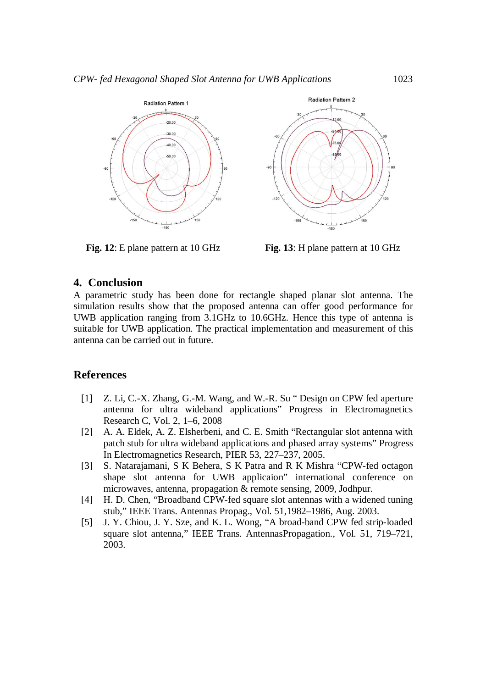



**Fig. 12**: E plane pattern at 10 GHz **Fig. 13**: H plane pattern at 10 GHz

## **4. Conclusion**

A parametric study has been done for rectangle shaped planar slot antenna. The simulation results show that the proposed antenna can offer good performance for UWB application ranging from 3.1GHz to 10.6GHz. Hence this type of antenna is suitable for UWB application. The practical implementation and measurement of this antenna can be carried out in future.

## **References**

- [1] Z. Li, C.-X. Zhang, G.-M. Wang, and W.-R. Su " Design on CPW fed aperture antenna for ultra wideband applications" Progress in Electromagnetics Research C, Vol. 2, 1–6, 2008
- [2] A. A. Eldek, A. Z. Elsherbeni, and C. E. Smith "Rectangular slot antenna with patch stub for ultra wideband applications and phased array systems" Progress In Electromagnetics Research, PIER 53, 227–237, 2005.
- [3] S. Natarajamani, S K Behera, S K Patra and R K Mishra "CPW-fed octagon shape slot antenna for UWB applicaion" international conference on microwaves, antenna, propagation & remote sensing, 2009, Jodhpur.
- [4] H. D. Chen, "Broadband CPW-fed square slot antennas with a widened tuning stub," IEEE Trans. Antennas Propag., Vol. 51,1982–1986, Aug. 2003.
- [5] J. Y. Chiou, J. Y. Sze, and K. L. Wong, "A broad-band CPW fed strip-loaded square slot antenna," IEEE Trans. AntennasPropagation., Vol. 51, 719–721, 2003.